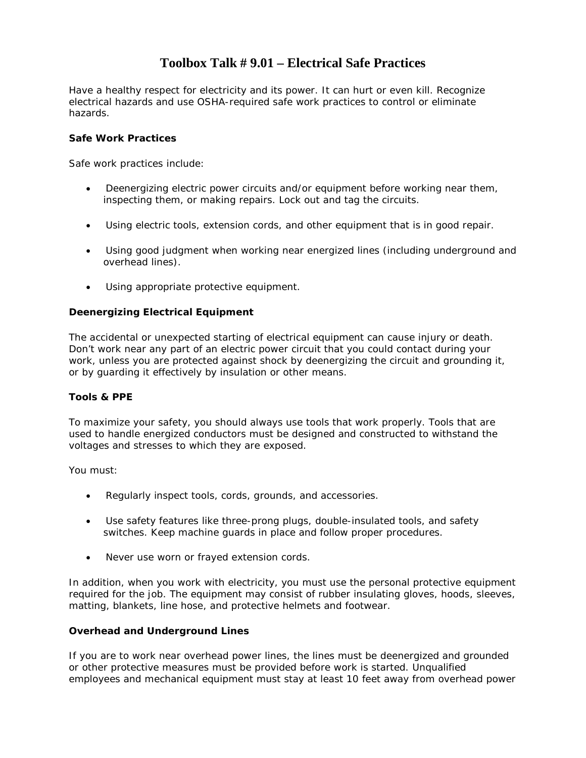### **Toolbox Talk # 9.01 – Electrical Safe Practices**

Have a healthy respect for electricity and its power. It can hurt or even kill. Recognize electrical hazards and use OSHA-required safe work practices to control or eliminate hazards.

#### **Safe Work Practices**

Safe work practices include:

- Deenergizing electric power circuits and/or equipment before working near them, inspecting them, or making repairs. Lock out and tag the circuits.
- Using electric tools, extension cords, and other equipment that is in good repair.
- Using good judgment when working near energized lines (including underground and overhead lines).
- Using appropriate protective equipment.

#### **Deenergizing Electrical Equipment**

The accidental or unexpected starting of electrical equipment can cause injury or death. Don't work near any part of an electric power circuit that you could contact during your work, unless you are protected against shock by deenergizing the circuit and grounding it, or by guarding it effectively by insulation or other means.

#### **Tools & PPE**

To maximize your safety, you should always use tools that work properly. Tools that are used to handle energized conductors must be designed and constructed to withstand the voltages and stresses to which they are exposed.

You must:

- Regularly inspect tools, cords, grounds, and accessories.
- Use safety features like three-prong plugs, double-insulated tools, and safety switches. Keep machine guards in place and follow proper procedures.
- Never use worn or frayed extension cords.

In addition, when you work with electricity, you must use the personal protective equipment required for the job. The equipment may consist of rubber insulating gloves, hoods, sleeves, matting, blankets, line hose, and protective helmets and footwear.

#### **Overhead and Underground Lines**

If you are to work near overhead power lines, the lines must be deenergized and grounded or other protective measures must be provided before work is started. Unqualified employees and mechanical equipment must stay at least 10 feet away from overhead power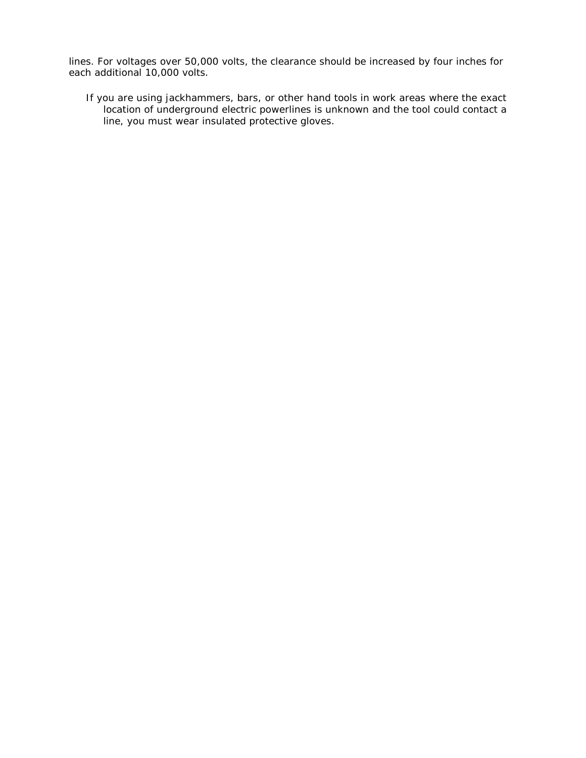lines. For voltages over 50,000 volts, the clearance should be increased by four inches for each additional 10,000 volts.

If you are using jackhammers, bars, or other hand tools in work areas where the exact location of underground electric powerlines is unknown and the tool could contact a line, you must wear insulated protective gloves.